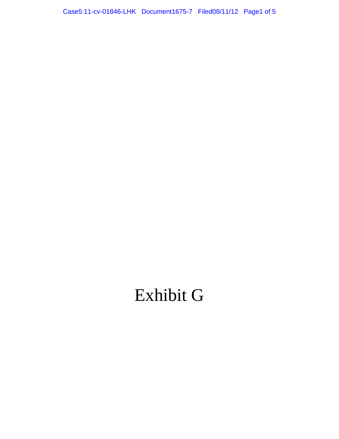Case5.11-dv-01846-LHK Document1675-7 FiedO8/11/12 Page1 of 5 Case5:11-cv-01846-LHK Document1675-7 Filed08/11/12 Page1 of 5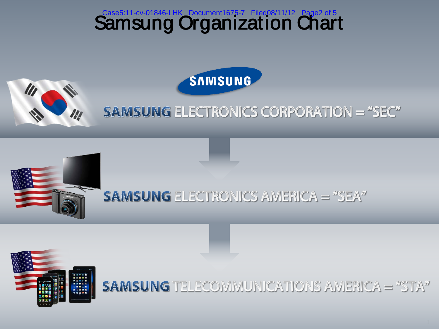





**SAMSUNG ELECTRONICS CORPORATION = "SEC"** 



## **SAMSUNG ELECTRONICS AMERICA = "SEA"**



### **SAMSUNG TELECOMMUNICATIONS AMERICA = "STA"**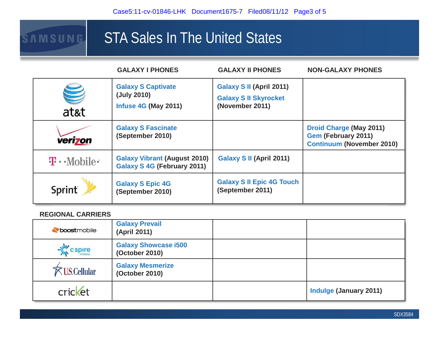# STA Sales In The United States

|                                  | <b>GALAXY I PHONES</b>                                                    | <b>GALAXY II PHONES</b>                                                     | <b>NON-GALAXY PHONES</b>                                                                         |
|----------------------------------|---------------------------------------------------------------------------|-----------------------------------------------------------------------------|--------------------------------------------------------------------------------------------------|
| <b>TANI</b><br>at&t              | <b>Galaxy S Captivate</b><br>(July 2010)<br><b>Infuse 4G (May 2011)</b>   | Galaxy S II (April 2011)<br><b>Galaxy S II Skyrocket</b><br>(November 2011) |                                                                                                  |
| verizon                          | <b>Galaxy S Fascinate</b><br>(September 2010)                             |                                                                             | <b>Droid Charge (May 2011)</b><br><b>Gem (February 2011)</b><br><b>Continuum (November 2010)</b> |
| $\mathbf{T} \cdot \text{Mobile}$ | <b>Galaxy Vibrant (August 2010)</b><br><b>Galaxy S 4G (February 2011)</b> | Galaxy S II (April 2011)                                                    |                                                                                                  |
| Sprint                           | <b>Galaxy S Epic 4G</b><br>(September 2010)                               | <b>Galaxy S II Epic 4G Touch</b><br>(September 2011)                        |                                                                                                  |

#### **REGIONAL CARRIERS**

SAMSUNG

| boostmobile          | <b>Galaxy Prevail</b><br>(April 2011)         |                               |
|----------------------|-----------------------------------------------|-------------------------------|
| cspire               | <b>Galaxy Showcase i500</b><br>(October 2010) |                               |
| <b>K</b> US.Cellular | <b>Galaxy Mesmerize</b><br>(October 2010)     |                               |
| cricket              |                                               | <b>Indulge (January 2011)</b> |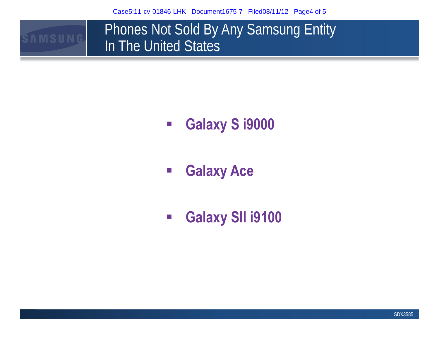Case5:11-cv-01846-LHK Document1675-7 Filed08/11/12 Page4 of 5

**AMSUNG** 

Phones Not Sold By Any Samsung Entity In The United States

- $\mathcal{L}_{\mathcal{A}}$ **Galaxy S i9000**
- $\mathbb{R}^3$ **Galaxy Ace**
- $\mathcal{L}_{\mathcal{A}}$ **Galaxy SII i9100**